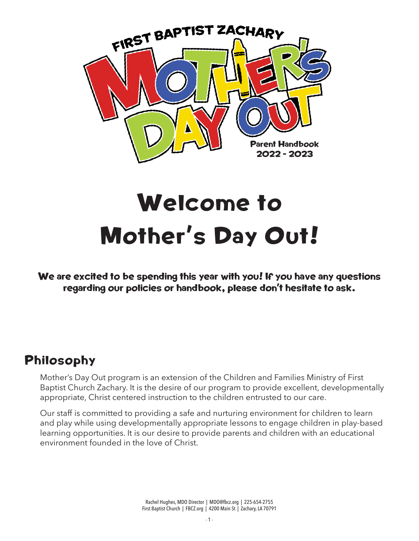

# Welcome to Mother's Day Out!

We are excited to be spending this year with you! If you have any questions regarding our policies or handbook, please don't hesitate to ask.

#### Philosophy

Mother's Day Out program is an extension of the Children and Families Ministry of First Baptist Church Zachary. It is the desire of our program to provide excellent, developmentally appropriate, Christ centered instruction to the children entrusted to our care.

Our staff is committed to providing a safe and nurturing environment for children to learn and play while using developmentally appropriate lessons to engage children in play-based learning opportunities. It is our desire to provide parents and children with an educational environment founded in the love of Christ.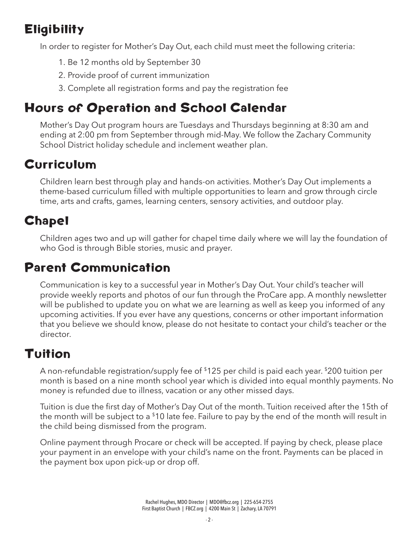# **Eligibility**

In order to register for Mother's Day Out, each child must meet the following criteria:

- 1. Be 12 months old by September 30
- 2. Provide proof of current immunization
- 3. Complete all registration forms and pay the registration fee

# Hours of Operation and School Calendar

Mother's Day Out program hours are Tuesdays and Thursdays beginning at 8:30 am and ending at 2:00 pm from September through mid-May. We follow the Zachary Community School District holiday schedule and inclement weather plan.

## Curriculum

Children learn best through play and hands-on activities. Mother's Day Out implements a theme-based curriculum filled with multiple opportunities to learn and grow through circle time, arts and crafts, games, learning centers, sensory activities, and outdoor play.

# **Chapel**

Children ages two and up will gather for chapel time daily where we will lay the foundation of who God is through Bible stories, music and prayer.

## Parent Communication

Communication is key to a successful year in Mother's Day Out. Your child's teacher will provide weekly reports and photos of our fun through the ProCare app. A monthly newsletter will be published to update you on what we are learning as well as keep you informed of any upcoming activities. If you ever have any questions, concerns or other important information that you believe we should know, please do not hesitate to contact your child's teacher or the director.

### Tuition

A non-refundable registration/supply fee of \$125 per child is paid each year. \$200 tuition per month is based on a nine month school year which is divided into equal monthly payments. No money is refunded due to illness, vacation or any other missed days.

Tuition is due the first day of Mother's Day Out of the month. Tuition received after the 15th of the month will be subject to a  $10$  late fee. Failure to pay by the end of the month will result in the child being dismissed from the program.

Online payment through Procare or check will be accepted. If paying by check, please place your payment in an envelope with your child's name on the front. Payments can be placed in the payment box upon pick-up or drop off.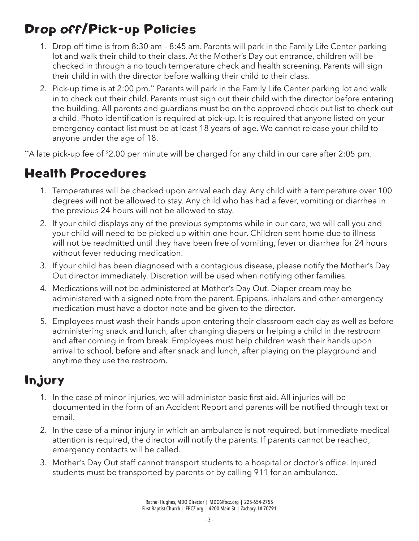# Drop off/Pick-up Policies

- 1. Drop off time is from 8:30 am 8:45 am. Parents will park in the Family Life Center parking lot and walk their child to their class. At the Mother's Day out entrance, children will be checked in through a no touch temperature check and health screening. Parents will sign their child in with the director before walking their child to their class.
- 2. Pick-up time is at 2:00 pm.\*\* Parents will park in the Family Life Center parking lot and walk in to check out their child. Parents must sign out their child with the director before entering the building. All parents and guardians must be on the approved check out list to check out a child. Photo identification is required at pick-up. It is required that anyone listed on your emergency contact list must be at least 18 years of age. We cannot release your child to anyone under the age of 18.

\*\*A late pick-up fee of \$2.00 per minute will be charged for any child in our care after 2:05 pm.

## Health Procedures

- 1. Temperatures will be checked upon arrival each day. Any child with a temperature over 100 degrees will not be allowed to stay. Any child who has had a fever, vomiting or diarrhea in the previous 24 hours will not be allowed to stay.
- 2. If your child displays any of the previous symptoms while in our care, we will call you and your child will need to be picked up within one hour. Children sent home due to illness will not be readmitted until they have been free of vomiting, fever or diarrhea for 24 hours without fever reducing medication.
- 3. If your child has been diagnosed with a contagious disease, please notify the Mother's Day Out director immediately. Discretion will be used when notifying other families.
- 4. Medications will not be administered at Mother's Day Out. Diaper cream may be administered with a signed note from the parent. Epipens, inhalers and other emergency medication must have a doctor note and be given to the director.
- 5. Employees must wash their hands upon entering their classroom each day as well as before administering snack and lunch, after changing diapers or helping a child in the restroom and after coming in from break. Employees must help children wash their hands upon arrival to school, before and after snack and lunch, after playing on the playground and anytime they use the restroom.

### Injury

- 1. In the case of minor injuries, we will administer basic first aid. All injuries will be documented in the form of an Accident Report and parents will be notified through text or email.
- 2. In the case of a minor injury in which an ambulance is not required, but immediate medical attention is required, the director will notify the parents. If parents cannot be reached, emergency contacts will be called.
- 3. Mother's Day Out staff cannot transport students to a hospital or doctor's office. Injured students must be transported by parents or by calling 911 for an ambulance.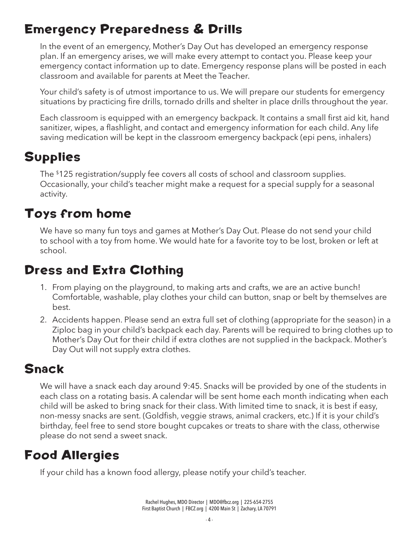## Emergency Preparedness & Drills

In the event of an emergency, Mother's Day Out has developed an emergency response plan. If an emergency arises, we will make every attempt to contact you. Please keep your emergency contact information up to date. Emergency response plans will be posted in each classroom and available for parents at Meet the Teacher.

Your child's safety is of utmost importance to us. We will prepare our students for emergency situations by practicing fire drills, tornado drills and shelter in place drills throughout the year.

Each classroom is equipped with an emergency backpack. It contains a small first aid kit, hand sanitizer, wipes, a flashlight, and contact and emergency information for each child. Any life saving medication will be kept in the classroom emergency backpack (epi pens, inhalers)

# Supplies

The \$125 registration/supply fee covers all costs of school and classroom supplies. Occasionally, your child's teacher might make a request for a special supply for a seasonal activity.

### Toys from home

We have so many fun toys and games at Mother's Day Out. Please do not send your child to school with a toy from home. We would hate for a favorite toy to be lost, broken or left at school.

## Dress and Extra Clothing

- 1. From playing on the playground, to making arts and crafts, we are an active bunch! Comfortable, washable, play clothes your child can button, snap or belt by themselves are best.
- 2. Accidents happen. Please send an extra full set of clothing (appropriate for the season) in a Ziploc bag in your child's backpack each day. Parents will be required to bring clothes up to Mother's Day Out for their child if extra clothes are not supplied in the backpack. Mother's Day Out will not supply extra clothes.

## Snack

We will have a snack each day around 9:45. Snacks will be provided by one of the students in each class on a rotating basis. A calendar will be sent home each month indicating when each child will be asked to bring snack for their class. With limited time to snack, it is best if easy, non-messy snacks are sent. (Goldfish, veggie straws, animal crackers, etc.) If it is your child's birthday, feel free to send store bought cupcakes or treats to share with the class, otherwise please do not send a sweet snack.

# Food Allergies

If your child has a known food allergy, please notify your child's teacher.